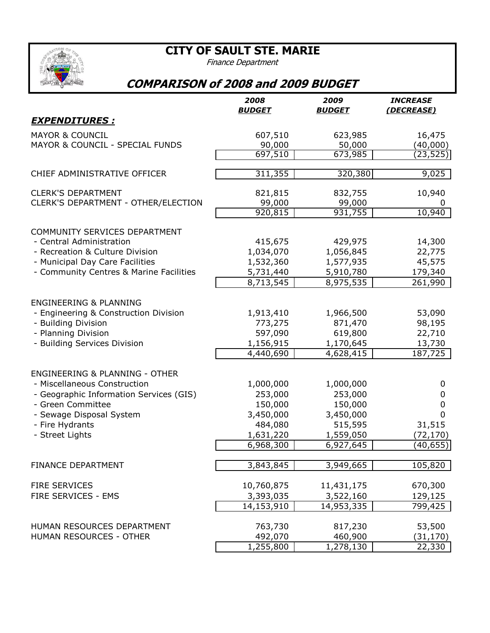**CITY OF SAULT STE. MARIE**



Finance Department

## **COMPARISON of 2008 and 2009 BUDGET**

|                                           | 2008          | 2009          | <b>INCREASE</b>      |
|-------------------------------------------|---------------|---------------|----------------------|
|                                           | <b>BUDGET</b> | <u>BUDGET</u> | (DECREASE)           |
| <u>EXPENDITURES :</u>                     |               |               |                      |
| <b>MAYOR &amp; COUNCIL</b>                | 607,510       | 623,985       | 16,475               |
| MAYOR & COUNCIL - SPECIAL FUNDS           | 90,000        | 50,000        | (40,000)             |
|                                           | 697,510       | 673,985       | (23,525)             |
| CHIEF ADMINISTRATIVE OFFICER              | 311,355       | 320,380       | 9,025                |
| <b>CLERK'S DEPARTMENT</b>                 | 821,815       | 832,755       | 10,940               |
| CLERK'S DEPARTMENT - OTHER/ELECTION       | 99,000        | 99,000        | 0                    |
|                                           | 920,815       | 931,755       | 10,940               |
| COMMUNITY SERVICES DEPARTMENT             |               |               |                      |
| - Central Administration                  | 415,675       | 429,975       | 14,300               |
| - Recreation & Culture Division           | 1,034,070     | 1,056,845     | 22,775               |
| - Municipal Day Care Facilities           | 1,532,360     | 1,577,935     | 45,575               |
| - Community Centres & Marine Facilities   | 5,731,440     | 5,910,780     | 179,340              |
|                                           | 8,713,545     | 8,975,535     | 261,990              |
| <b>ENGINEERING &amp; PLANNING</b>         |               |               |                      |
| - Engineering & Construction Division     | 1,913,410     | 1,966,500     | 53,090               |
| - Building Division                       | 773,275       | 871,470       | 98,195               |
| - Planning Division                       | 597,090       | 619,800       | 22,710               |
| - Building Services Division              | 1,156,915     | 1,170,645     | 13,730               |
|                                           | 4,440,690     | 4,628,415     | $\overline{187,725}$ |
| <b>ENGINEERING &amp; PLANNING - OTHER</b> |               |               |                      |
| - Miscellaneous Construction              | 1,000,000     | 1,000,000     | 0                    |
| - Geographic Information Services (GIS)   | 253,000       | 253,000       | 0                    |
| - Green Committee                         | 150,000       | 150,000       | 0                    |
| - Sewage Disposal System                  | 3,450,000     | 3,450,000     | 0                    |
| - Fire Hydrants                           | 484,080       | 515,595       | 31,515               |
| - Street Lights                           | 1,631,220     | 1,559,050     | (72, 170)            |
|                                           | 6,968,300     | 6,927,645     | (40,655)             |
|                                           |               |               |                      |
| <b>FINANCE DEPARTMENT</b>                 | 3,843,845     | 3,949,665     | 105,820              |
| <b>FIRE SERVICES</b>                      | 10,760,875    | 11,431,175    | 670,300              |
| FIRE SERVICES - EMS                       | 3,393,035     | 3,522,160     | 129,125              |
|                                           | 14,153,910    | 14,953,335    | 799,425              |
| HUMAN RESOURCES DEPARTMENT                | 763,730       | 817,230       | 53,500               |
| HUMAN RESOURCES - OTHER                   | 492,070       | 460,900       | (31, 170)            |
|                                           | 1,255,800     | 1,278,130     | 22,330               |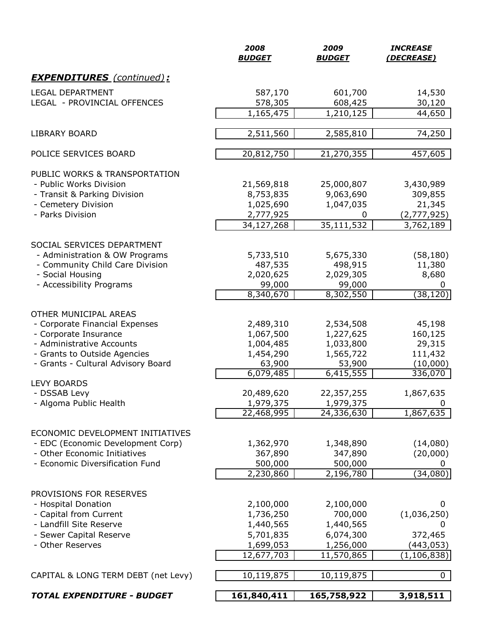|                                     | 2008<br><b>BUDGET</b>   | 2009<br><b>BUDGET</b>      | <b>INCREASE</b><br>(DECREASE) |
|-------------------------------------|-------------------------|----------------------------|-------------------------------|
| <b>EXPENDITURES</b> (continued):    |                         |                            |                               |
| <b>LEGAL DEPARTMENT</b>             | 587,170                 | 601,700                    | 14,530                        |
| LEGAL - PROVINCIAL OFFENCES         | 578,305                 | 608,425                    | 30,120                        |
|                                     | 1,165,475               | 1,210,125                  | 44,650                        |
| <b>LIBRARY BOARD</b>                | 2,511,560               | 2,585,810                  | 74,250                        |
| POLICE SERVICES BOARD               | 20,812,750              | 21,270,355                 | 457,605                       |
|                                     |                         |                            |                               |
| PUBLIC WORKS & TRANSPORTATION       |                         |                            |                               |
| - Public Works Division             | 21,569,818              | 25,000,807                 | 3,430,989                     |
| - Transit & Parking Division        | 8,753,835               | 9,063,690                  | 309,855                       |
| - Cemetery Division                 | 1,025,690               | 1,047,035                  | 21,345                        |
| - Parks Division                    | 2,777,925<br>34,127,268 | 0<br>35,111,532            | (2,777,925)<br>3,762,189      |
|                                     |                         |                            |                               |
| SOCIAL SERVICES DEPARTMENT          |                         |                            |                               |
| - Administration & OW Programs      | 5,733,510               | 5,675,330                  | (58, 180)                     |
| - Community Child Care Division     | 487,535                 | 498,915                    | 11,380                        |
| - Social Housing                    | 2,020,625               | 2,029,305                  | 8,680                         |
| - Accessibility Programs            | 99,000                  | 99,000                     | 0                             |
|                                     | 8,340,670               | 8,302,550                  | (38, 120)                     |
| OTHER MUNICIPAL AREAS               |                         |                            |                               |
| - Corporate Financial Expenses      | 2,489,310               | 2,534,508                  | 45,198                        |
| - Corporate Insurance               | 1,067,500               | 1,227,625                  | 160,125                       |
| - Administrative Accounts           | 1,004,485               | 1,033,800                  | 29,315                        |
| - Grants to Outside Agencies        | 1,454,290               | 1,565,722                  | 111,432                       |
| - Grants - Cultural Advisory Board  | 63,900                  | 53,900                     | (10,000)                      |
|                                     | 6,079,485               | 6,415,555                  | 336,070                       |
| <b>LEVY BOARDS</b>                  |                         |                            |                               |
| - DSSAB Levy                        | 20,489,620              | 22,357,255                 | 1,867,635                     |
| - Algoma Public Health              | 1,979,375               | 1,979,375                  | 0                             |
|                                     | 22,468,995              | 24,336,630                 | 1,867,635                     |
| ECONOMIC DEVELOPMENT INITIATIVES    |                         |                            |                               |
| - EDC (Economic Development Corp)   | 1,362,970               | 1,348,890                  | (14,080)                      |
| - Other Economic Initiatives        | 367,890                 | 347,890                    | (20,000)                      |
| - Economic Diversification Fund     | 500,000                 | 500,000                    | 0                             |
|                                     | 2,230,860               | 2,196,780                  | (34,080)                      |
|                                     |                         |                            |                               |
| PROVISIONS FOR RESERVES             |                         |                            |                               |
| - Hospital Donation                 | 2,100,000               | 2,100,000                  | 0                             |
| - Capital from Current              | 1,736,250               | 700,000                    | (1,036,250)                   |
| - Landfill Site Reserve             | 1,440,565               | 1,440,565                  | 0                             |
| - Sewer Capital Reserve             | 5,701,835               | 6,074,300                  | 372,465                       |
| - Other Reserves                    | 1,699,053               | 1,256,000                  | (443, 053)                    |
|                                     | 12,677,703              | 11,570,865                 | (1, 106, 838)                 |
| CAPITAL & LONG TERM DEBT (net Levy) | 10,119,875              | $\overline{10}$ , 119, 875 | 0                             |
| <b>TOTAL EXPENDITURE - BUDGET</b>   | 161,840,411             | 165,758,922                | 3,918,511                     |